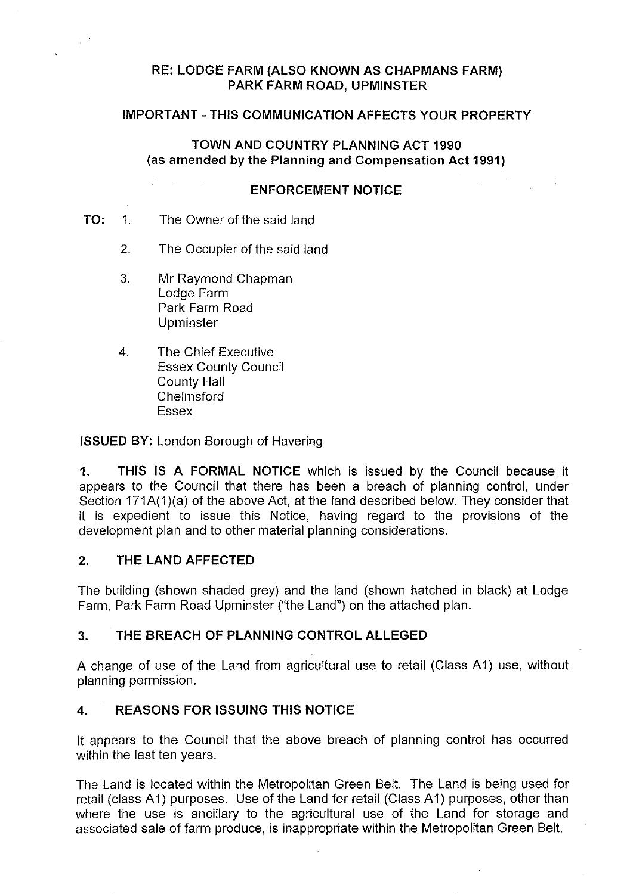# **RE: LODGE FARM (ALSO KNOWN AS CHAPMANS FARM) PARK FARM ROAD, UPMINSTER**

### **IMPORTANT-THIS COMMUNICATION AFFECTS YOUR PROPERTY**

**TOWN AND COUNTRY PLANNING ACT 1990** (as **amended by the Planning and Compensation Act 1991)** 

#### **ENFORCEMENT NOTICE**

#### **TO:** 1. The Owner of the said land

- 2. The Occupier of the said land
- 3. Mr Raymond Chapman Lodge Farm Park Farm Road Upminster
- 4. The Chief Executive Essex County Council County Hall Chelmsford Essex

**ISSUED BY:** London Borough of Havering

**1. THIS IS A FORMAL NOTICE** which is issued by the Council because it appears to the Council that there has been a breach of planning control, under Section 171A(1)(a) of the above Act, at the land described below. They consider that it is expedient to issue this Notice, having regard to the provisions of the development plan and to other material planning considerations.

### **2. THE LAND AFFECTED**

The building (shown shaded grey) and the land (shown hatched in black) at Lodge Farm, Park Farm Road Upminster ("the Land") on the attached plan.

#### **3. THE BREACH OF PLANNING CONTROL ALLEGED**

A change of use of the Land from agricultural use to retail (Class A1) use, without planning permission.

#### **4. REASONS FOR ISSUING THIS NOTICE**

It appears to the Council that the above breach of planning control has occurred within the last ten years.

The Land is located within the Metropolitan Green Belt. The Land is being used for retail (class A1) purposes. Use of the Land for retail (Class A1) purposes, other than where the use is ancillary to the agricultural use of the Land for storage and associated sale of farm produce, is inappropriate within the Metropolitan Green Belt.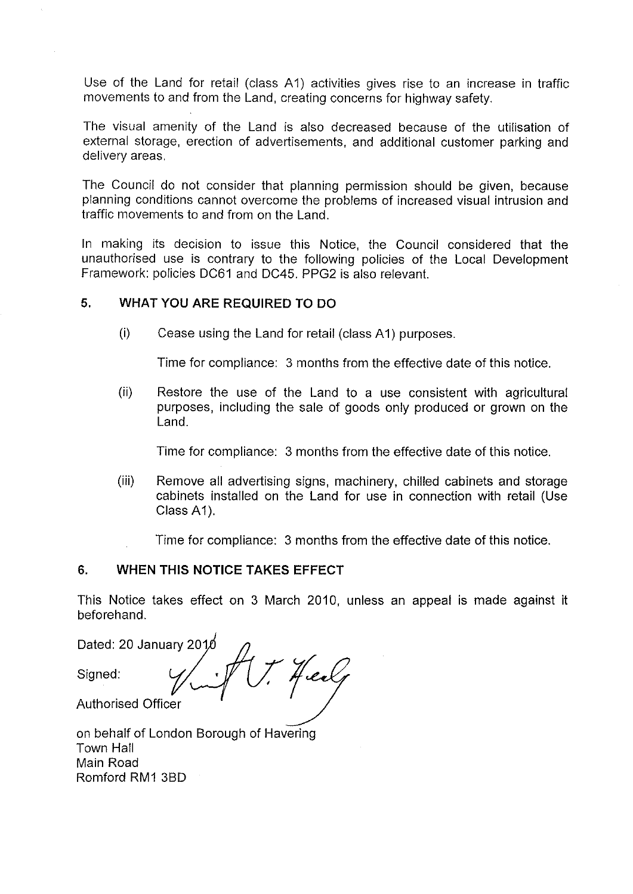Use of the Land for retail (class A1) activities gives rise to an increase in traffic movements to and from the Land, creating concerns for highway safety.

The visual amenity of the Land is also decreased because of the utilisation of external storage, erection of advertisements, and additional customer parking and delivery areas.

The Council do not consider that planning permission should be given, because planning conditions cannot overcome the problems of increased visual intrusion and traffic movements to and from on the Land.

In making its decision to issue this Notice, the Council considered that the unauthorised use is contrary to the following policies of the Local Development Framework: policies DC61 and DC45. PPG2 is also relevant.

# **5. WHAT YOU ARE REQUIRED TO DO**

(i) Cease using the Land for retail (class A1) purposes.

Time for compliance: 3 months from the effective date of this notice.

(ii) Restore the use of the Land to a use consistent with agricultural purposes, including the sale of goods only produced or grown on the Land.

Time for compliance: 3 months from the effective date of this notice.

(iii) Remove all advertising signs, machinery, chilled cabinets and storage cabinets installed on the Land for use in connection with retail (Use Class A1).

Time for compliance: 3 months from the effective date of this notice.

# **6. WHEN THIS NOTICE TAKES EFFECT**

This Notice takes effect on 3 March 2010, unless an appeal is made against it beforehand.

Dated: 20 January 201 Heal Signed: Authorised Officer

on behalf of London Borough of Havering Town Hall Main Road Romford RM1 3BD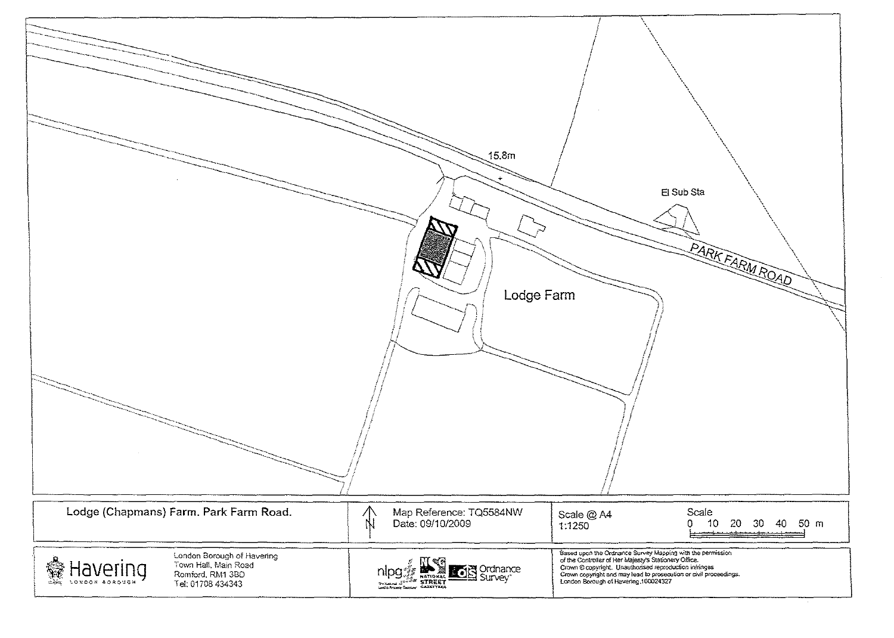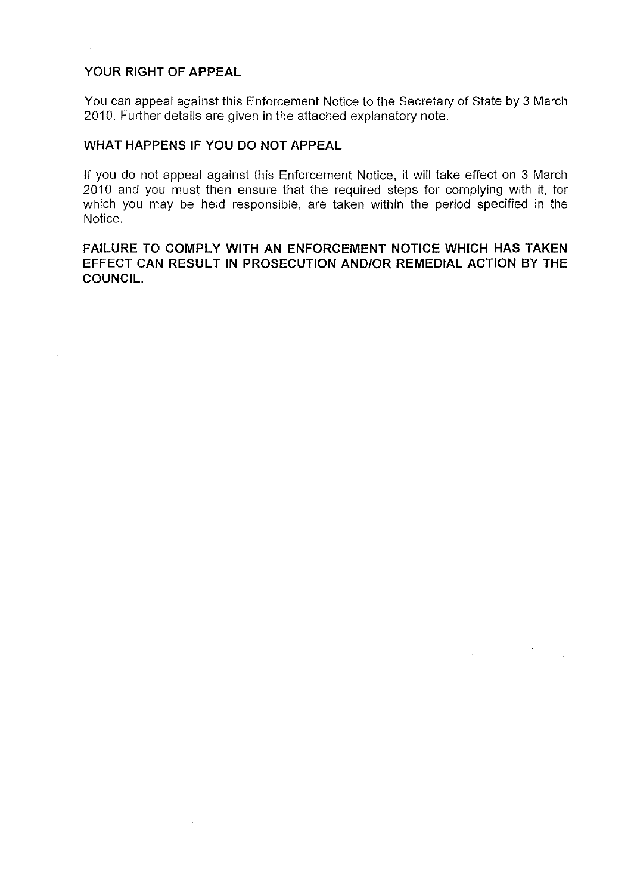### **YOUR RIGHT OF APPEAL**

You can appeal against this Enforcement Notice to the Secretary of State by 3 March 2010. Further details are given in the attached explanatory note.

### **WHAT HAPPENS IF YOU DO NOT APPEAL**

If you do not appeal against this Enforcement Notice, it will take effect on 3 March 2010 and you must then ensure that the required steps for complying with it, for which you may be held responsible, are taken within the period specified in the Notice.

**FAILURE TO COMPLY WITH AN ENFORCEMENT NOTICE WHICH HAS TAKEN EFFECT CAN RESULT IN PROSECUTION AND/OR REMEDIAL ACTION BY THE COUNCIL.** 

 $\mathcal{H}_{\mathrm{c}}$ 

 $\sim 10^{-10}$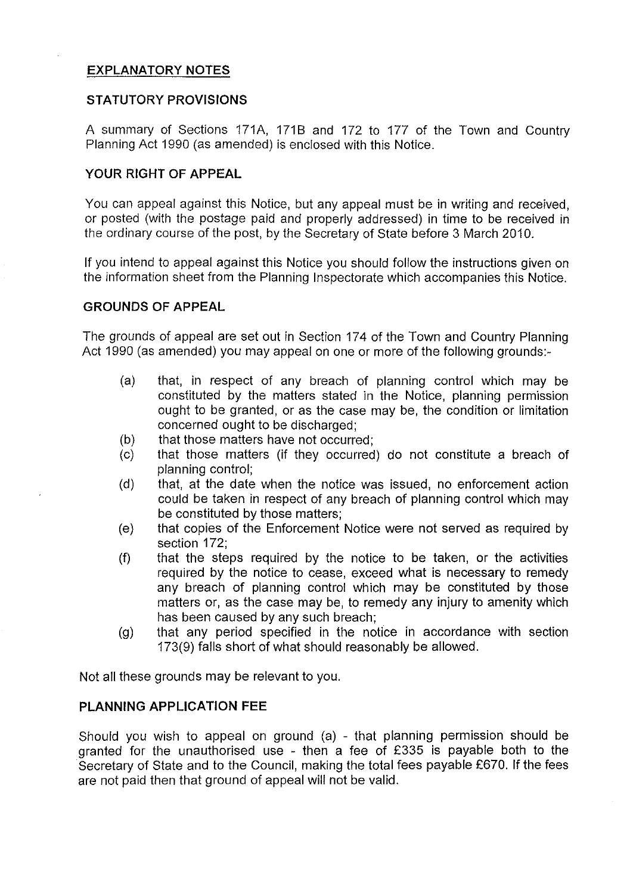# **EX PLANA TORY NOTES**

## **STATUTORY PROVISIONS**

A summary of Sections 171A, 1718 and 172 to 177 of the Town and Country Planning Act 1990 (as amended) is enclosed with this Notice.

# **YOUR RIGHT OF APPEAL**

You can appeal against this Notice, but any appeal must be in writing and received, or posted (with the postage paid and properly addressed) in time to be received in the ordinary course of the post, by the Secretary of State before 3 March 2010.

If you intend to appeal against this Notice you should follow the instructions given on the information sheet from the Planning Inspectorate which accompanies this Notice.

## **GROUNDS OF APPEAL**

The grounds of appeal are set out in Section 174 of the Town and Country Planning Act 1990 (as amended) you may appeal on one or more of the following grounds:-

- (a) that, in respect of any breach of planning control which may be constituted by the matters stated in the Notice, planning permission ought to be granted, or as the case may be, the condition or limitation concerned ought to be discharged;
- (b) that those matters have not occurred;
- (c) that those matters (if they occurred) do not constitute a breach of planning control;
- (d) that, at the date when the notice was issued, no enforcement action could be taken in respect of any breach of planning control which may be constituted by those matters;
- (e) that copies of the Enforcement Notice were not served as required by section 172;
- (f) that the steps required by the notice to be taken, or the activities required by the notice to cease, exceed what is necessary to remedy any breach of planning control which may be constituted by those matters or, as the case may be, to remedy any injury to amenity which has been caused by any such breach;
- (g) that any period specified in the notice in accordance with section 173(9) falls short of what should reasonably be allowed.

Not all these grounds may be relevant to you.

# **PLANNING APPLICATION FEE**

Should you wish to appeal on ground (a) - that planning permission should be granted for the unauthorised use - then a fee of £335 is payable both to the Secretary of State and to the Council, making the total fees payable £670. If the fees are not paid then that ground of appeal will not be valid.